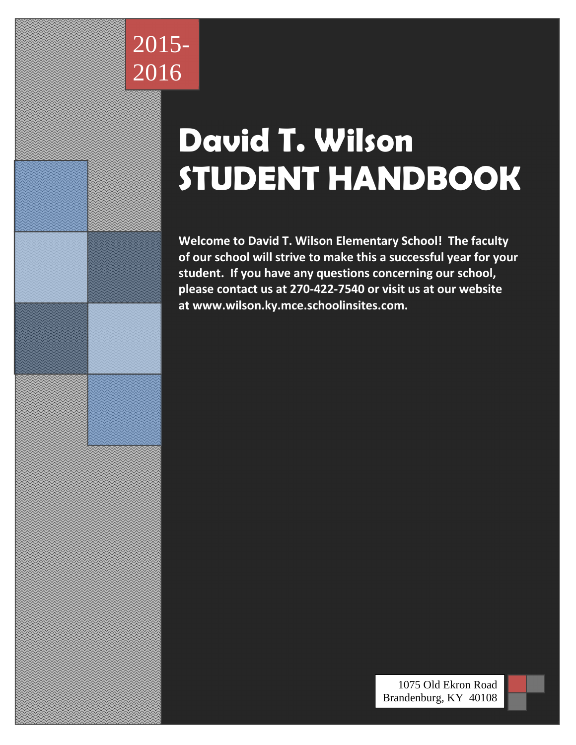

# **David T. Wilson STUDENT HANDBOOK**

**Welcome to David T. Wilson Elementary School! The faculty of our school will strive to make this a successful year for your student. If you have any questions concerning our school, please contact us at 270-422-7540 or visit us at our website at www.wilson.ky.mce.schoolinsites.com.** 



0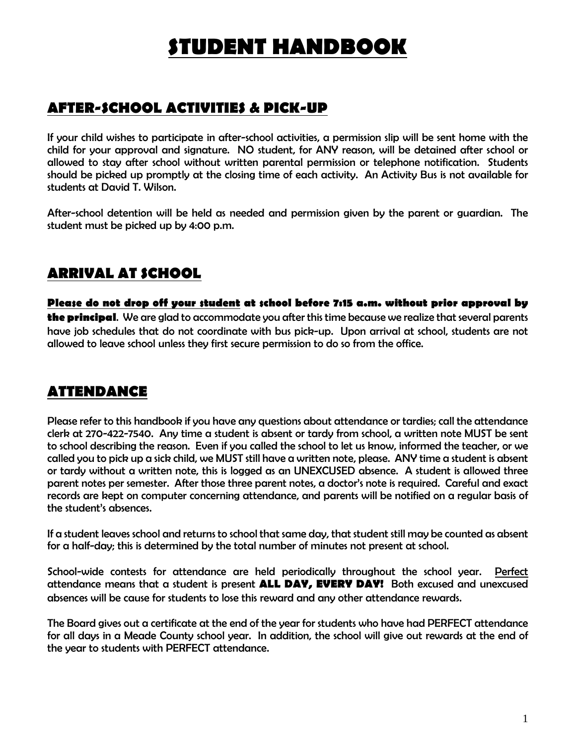## *STUDENT HANDBOOK*

### *AFTER-SCHOOL ACTIVITIES & PICK-UP*

*If your child wishes to participate in after-school activities, a permission slip will be sent home with the child for your approval and signature. NO student, for ANY reason, will be detained after school or allowed to stay after school without written parental permission or telephone notification. Students should be picked up promptly at the closing time of each activity. An Activity Bus is not available for students at David T. Wilson.* 

*After-school detention will be held as needed and permission given by the parent or guardian. The student must be picked up by 4:00 p.m.* 

### *ARRIVAL AT SCHOOL*

*Please do not drop off your student at school before 7:15 a.m. without prior approval by the principal. We are glad to accommodate you after this time because we realize that several parents*  have job schedules that do not coordinate with bus pick-up. Upon arrival at school, students are not *allowed to leave school unless they first secure permission to do so from the office.* 

#### *ATTENDANCE*

*Please refer to this handbook if you have any questions about attendance or tardies; call the attendance clerk at 270-422-7540. Any time a student is absent or tardy from school, a written note MUST be sent to school describing the reason. Even if you called the school to let us know, informed the teacher, or we called you to pick up a sick child, we MUST still have a written note, please. ANY time a student is absent or tardy without a written note, this is logged as an UNEXCUSED absence. A student is allowed three parent notes per semester. After those three parent notes, a doctor's note is required. Careful and exact records are kept on computer concerning attendance, and parents will be notified on a regular basis of the student's absences.* 

*If a student leaves school and returns to school that same day, that student still may be counted as absent for a half-day; this is determined by the total number of minutes not present at school.* 

*School-wide contests for attendance are held periodically throughout the school year. Perfect attendance means that a student is present ALL DAY, EVERY DAY! Both excused and unexcused absences will be cause for students to lose this reward and any other attendance rewards.* 

*The Board gives out a certificate at the end of the year for students who have had PERFECT attendance for all days in a Meade County school year. In addition, the school will give out rewards at the end of the year to students with PERFECT attendance.*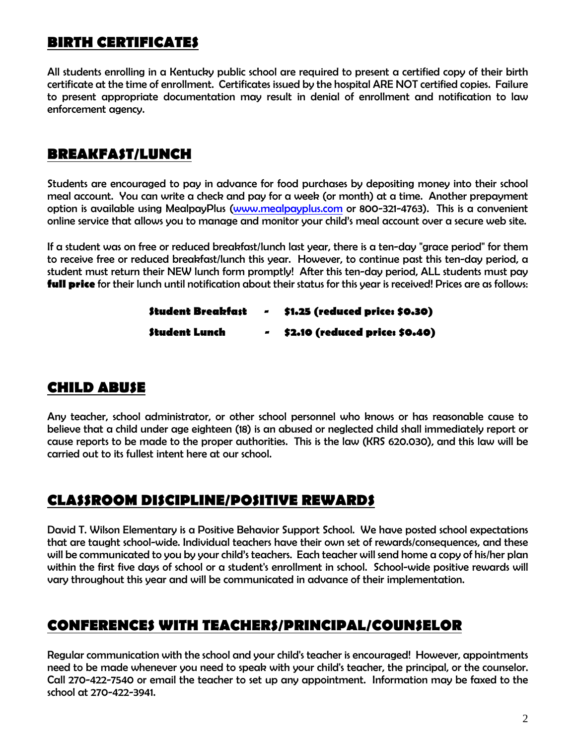#### *BIRTH CERTIFICATES*

*All students enrolling in a Kentucky public school are required to present a certified copy of their birth certificate at the time of enrollment. Certificates issued by the hospital ARE NOT certified copies. Failure to present appropriate documentation may result in denial of enrollment and notification to law enforcement agency.* 

#### *BREAKFAST/LUNCH*

*Students are encouraged to pay in advance for food purchases by depositing money into their school meal account. You can write a check and pay for a week (or month) at a time. Another prepayment option is available using MealpayPlus (www.mealpayplus.com or 800-321-4763). This is a convenient online service that allows you to manage and monitor your child's meal account over a secure web site.* 

*If a student was on free or reduced breakfast/lunch last year, there is a ten-day "grace period" for them to receive free or reduced breakfast/lunch this year. However, to continue past this ten-day period, a student must return their NEW lunch form promptly! After this ten-day period, ALL students must pay full price for their lunch until notification about their status for this year is received! Prices are as follows:* 

> *Student Breakfast - \$1.25 (reduced price: \$0.30) Student Lunch - \$2.10 (reduced price: \$0.40)*

#### *CHILD ABUSE*

*Any teacher, school administrator, or other school personnel who knows or has reasonable cause to believe that a child under age eighteen (18) is an abused or neglected child shall immediately report or cause reports to be made to the proper authorities. This is the law (KRS 620.030), and this law will be carried out to its fullest intent here at our school.* 

#### *CLASSROOM DISCIPLINE/POSITIVE REWARDS*

*David T. Wilson Elementary is a Positive Behavior Support School. We have posted school expectations that are taught school-wide. Individual teachers have their own set of rewards/consequences, and these will be communicated to you by your child's teachers. Each teacher will send home a copy of his/her plan*  within the first five days of school or a student's enrollment in school. School-wide positive rewards will *vary throughout this year and will be communicated in advance of their implementation.* 

#### *CONFERENCES WITH TEACHERS/PRINCIPAL/COUNSELOR*

*Regular communication with the school and your child's teacher is encouraged! However, appointments need to be made whenever you need to speak with your child's teacher, the principal, or the counselor. Call 270-422-7540 or email the teacher to set up any appointment. Information may be faxed to the school at 270-422-3941.*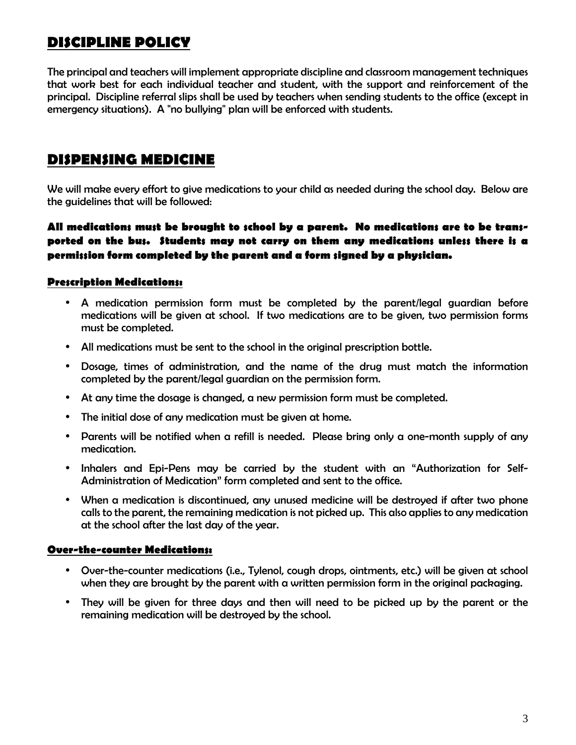### *DISCIPLINE POLICY*

*The principal and teachers will implement appropriate discipline and classroom management techniques that work best for each individual teacher and student, with the support and reinforcement of the principal. Discipline referral slips shall be used by teachers when sending students to the office (except in emergency situations). A "no bullying" plan will be enforced with students.* 

#### *DISPENSING MEDICINE*

*We will make every effort to give medications to your child as needed during the school day. Below are the guidelines that will be followed:* 

#### *All medications must be brought to school by a parent. No medications are to be transported on the bus. Students may not carry on them any medications unless there is a permission form completed by the parent and a form signed by a physician.*

#### *Prescription Medications:*

- *A medication permission form must be completed by the parent/legal guardian before medications will be given at school. If two medications are to be given, two permission forms must be completed.*
- *All medications must be sent to the school in the original prescription bottle.*
- *Dosage, times of administration, and the name of the drug must match the information completed by the parent/legal guardian on the permission form.*
- *At any time the dosage is changed, a new permission form must be completed.*
- *The initial dose of any medication must be given at home.*
- *Parents will be notified when a refill is needed. Please bring only a one-month supply of any medication.*
- *Inhalers and Epi-Pens may be carried by the student with an "Authorization for Self-Administration of Medication" form completed and sent to the office.*
- *When a medication is discontinued, any unused medicine will be destroyed if after two phone calls to the parent, the remaining medication is not picked up. This also applies to any medication at the school after the last day of the year.*

#### *Over-the-counter Medications:*

- *Over-the-counter medications (i.e., Tylenol, cough drops, ointments, etc.) will be given at school when they are brought by the parent with a written permission form in the original packaging.*
- *They will be given for three days and then will need to be picked up by the parent or the remaining medication will be destroyed by the school.*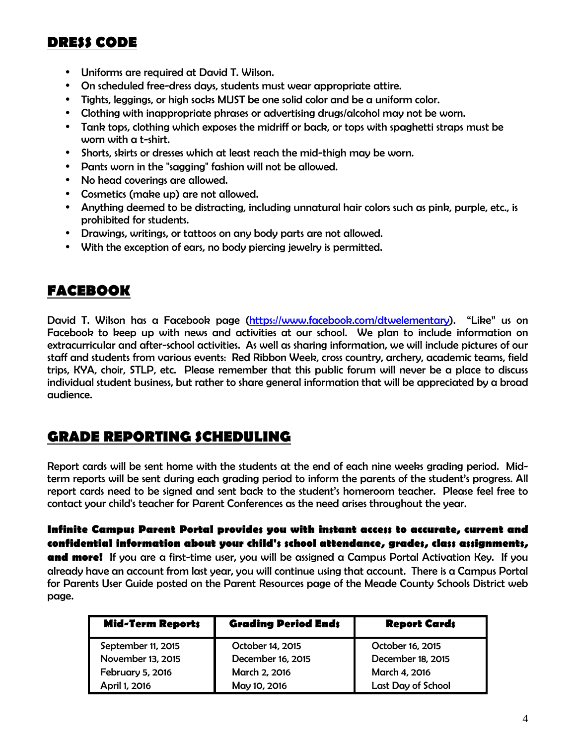#### *DRESS CODE*

- *Uniforms are required at David T. Wilson.*
- *On scheduled free-dress days, students must wear appropriate attire.*
- *Tights, leggings, or high socks MUST be one solid color and be a uniform color.*
- *Clothing with inappropriate phrases or advertising drugs/alcohol may not be worn.*
- *Tank tops, clothing which exposes the midriff or back, or tops with spaghetti straps must be worn with a t-shirt.*
- *Shorts, skirts or dresses which at least reach the mid-thigh may be worn.*
- *Pants worn in the "sagging" fashion will not be allowed.*
- *No head coverings are allowed.*
- *Cosmetics (make up) are not allowed.*
- *Anything deemed to be distracting, including unnatural hair colors such as pink, purple, etc., is prohibited for students.*
- *Drawings, writings, or tattoos on any body parts are not allowed.*
- *With the exception of ears, no body piercing jewelry is permitted.*

#### *FACEBOOK*

*David T. Wilson has a Facebook page (https://www.facebook.com/dtwelementary). "Like" us on Facebook to keep up with news and activities at our school. We plan to include information on extracurricular and after-school activities. As well as sharing information, we will include pictures of our staff and students from various events: Red Ribbon Week, cross country, archery, academic teams, field trips, KYA, choir, STLP, etc. Please remember that this public forum will never be a place to discuss individual student business, but rather to share general information that will be appreciated by a broad audience.* 

#### *GRADE REPORTING SCHEDULING*

*Report cards will be sent home with the students at the end of each nine weeks grading period. Midterm reports will be sent during each grading period to inform the parents of the student's progress. All report cards need to be signed and sent back to the student's homeroom teacher. Please feel free to contact your child's teacher for Parent Conferences as the need arises throughout the year.* 

#### *Infinite Campus Parent Portal provides you with instant access to accurate, current and confidential information about your child's school attendance, grades, class assignments,*

*and more! If you are a first-time user, you will be assigned a Campus Portal Activation Key. If you already have an account from last year, you will continue using that account. There is a Campus Portal for Parents User Guide posted on the Parent Resources page of the Meade County Schools District web page.* 

| <b>Mid-Term Reports</b> | <b>Grading Period Ends</b> | <b>Report Cards</b> |  |
|-------------------------|----------------------------|---------------------|--|
| September 11, 2015      | October 14, 2015           | October 16, 2015    |  |
| November 13, 2015       | December 16, 2015          | December 18, 2015   |  |
| <b>February 5, 2016</b> | March 2, 2016              | March 4, 2016       |  |
| April 1, 2016           | May 10, 2016               | Last Day of School  |  |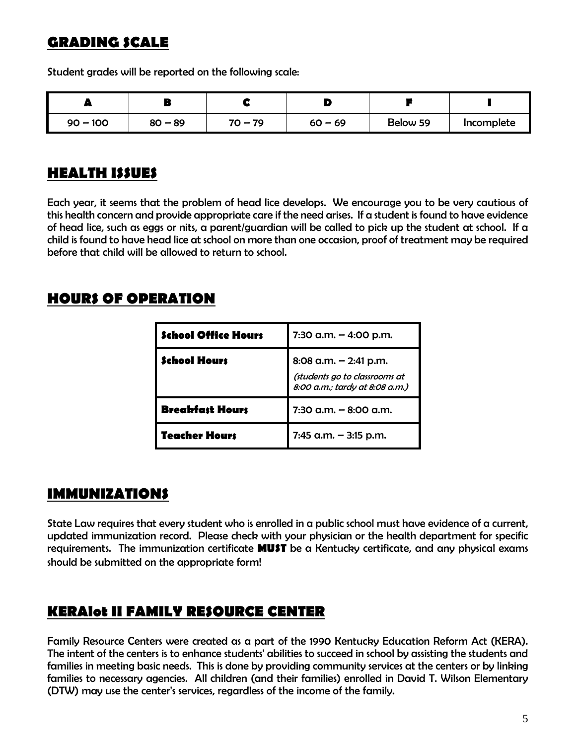## *GRADING SCALE*

*Student grades will be reported on the following scale:* 

| --         |           |           |           |          |            |
|------------|-----------|-----------|-----------|----------|------------|
| $90 - 100$ | $80 - 89$ | $70 - 79$ | $60 - 69$ | Below 59 | Incomplete |

#### *HEALTH ISSUES*

*Each year, it seems that the problem of head lice develops. We encourage you to be very cautious of this health concern and provide appropriate care if the need arises. If a student is found to have evidence of head lice, such as eggs or nits, a parent/guardian will be called to pick up the student at school. If a child is found to have head lice at school on more than one occasion, proof of treatment may be required before that child will be allowed to return to school.* 

#### *HOURS OF OPERATION*

| <b>School Office Hours</b> | 7:30 a.m. $-$ 4:00 p.m.                                                                    |
|----------------------------|--------------------------------------------------------------------------------------------|
| <b>School Hours</b>        | 8:08 a.m. $-$ 2:41 p.m.<br>(students go to classrooms at<br>8:00 a.m.; tardy at 8:08 a.m.) |
| <b>Breakfast Hours</b>     | 7:30 a.m. $-$ 8:00 a.m.                                                                    |
| <b>Teacher Hours</b>       | $7:45$ a.m. $-3:15$ p.m.                                                                   |

#### *IMMUNIZATIONS*

*State Law requires that every student who is enrolled in a public school must have evidence of a current, updated immunization record. Please check with your physician or the health department for specific requirements. The immunization certificate MUST be a Kentucky certificate, and any physical exams should be submitted on the appropriate form!* 

#### *KERAlot II FAMILY RESOURCE CENTER*

*Family Resource Centers were created as a part of the 1990 Kentucky Education Reform Act (KERA). The intent of the centers is to enhance students' abilities to succeed in school by assisting the students and families in meeting basic needs. This is done by providing community services at the centers or by linking families to necessary agencies. All children (and their families) enrolled in David T. Wilson Elementary (DTW) may use the center's services, regardless of the income of the family.*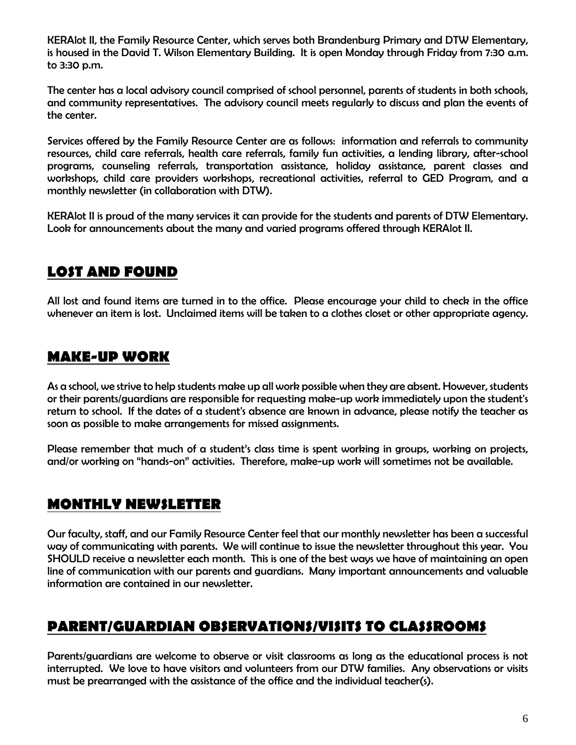*KERAlot II, the Family Resource Center, which serves both Brandenburg Primary and DTW Elementary, is housed in the David T. Wilson Elementary Building. It is open Monday through Friday from 7:30 a.m. to 3:30 p.m.* 

*The center has a local advisory council comprised of school personnel, parents of students in both schools, and community representatives. The advisory council meets regularly to discuss and plan the events of the center.* 

*Services offered by the Family Resource Center are as follows: information and referrals to community resources, child care referrals, health care referrals, family fun activities, a lending library, after-school programs, counseling referrals, transportation assistance, holiday assistance, parent classes and workshops, child care providers workshops, recreational activities, referral to GED Program, and a monthly newsletter (in collaboration with DTW).* 

*KERAlot II is proud of the many services it can provide for the students and parents of DTW Elementary.*  Look for announcements about the many and varied programs offered through KERAlot II.

#### *LOST AND FOUND*

*All lost and found items are turned in to the office. Please encourage your child to check in the office whenever an item is lost. Unclaimed items will be taken to a clothes closet or other appropriate agency.* 

#### *MAKE-UP WORK*

*As a school, we strive to help students make up all work possible when they are absent. However, students or their parents/guardians are responsible for requesting make-up work immediately upon the student's return to school. If the dates of a student's absence are known in advance, please notify the teacher as soon as possible to make arrangements for missed assignments.* 

*Please remember that much of a student's class time is spent working in groups, working on projects, and/or working on "hands-on" activities. Therefore, make-up work will sometimes not be available.* 

#### *MONTHLY NEWSLETTER*

*Our faculty, staff, and our Family Resource Center feel that our monthly newsletter has been a successful way of communicating with parents. We will continue to issue the newsletter throughout this year. You SHOULD receive a newsletter each month. This is one of the best ways we have of maintaining an open line of communication with our parents and guardians. Many important announcements and valuable information are contained in our newsletter.* 

## *PARENT/GUARDIAN OBSERVATIONS/VISITS TO CLASSROOMS*

*Parents/guardians are welcome to observe or visit classrooms as long as the educational process is not interrupted. We love to have visitors and volunteers from our DTW families. Any observations or visits must be prearranged with the assistance of the office and the individual teacher(s).*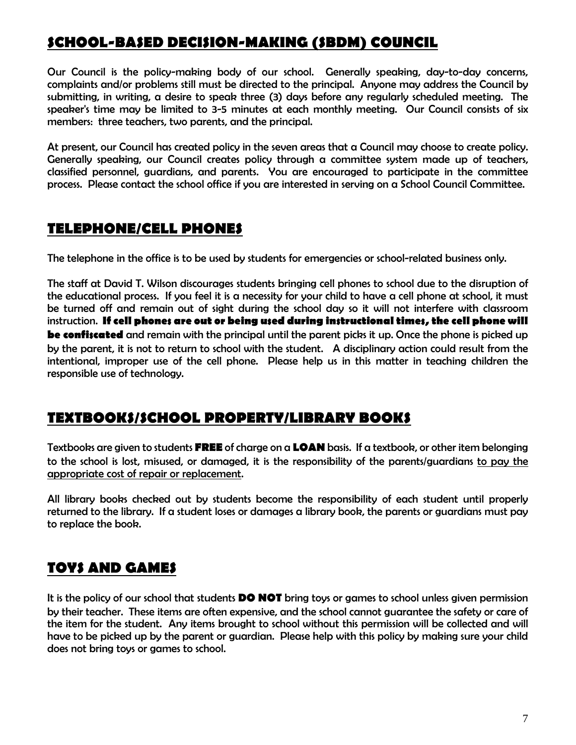### *SCHOOL-BASED DECISION-MAKING (SBDM) COUNCIL*

*Our Council is the policy-making body of our school. Generally speaking, day-to-day concerns, complaints and/or problems still must be directed to the principal. Anyone may address the Council by submitting, in writing, a desire to speak three (3) days before any regularly scheduled meeting. The speaker's time may be limited to 3-5 minutes at each monthly meeting. Our Council consists of six members: three teachers, two parents, and the principal.* 

*At present, our Council has created policy in the seven areas that a Council may choose to create policy. Generally speaking, our Council creates policy through a committee system made up of teachers, classified personnel, guardians, and parents. You are encouraged to participate in the committee process. Please contact the school office if you are interested in serving on a School Council Committee.* 

#### *TELEPHONE/CELL PHONES*

*The telephone in the office is to be used by students for emergencies or school-related business only.* 

*The staff at David T. Wilson discourages students bringing cell phones to school due to the disruption of the educational process. If you feel it is a necessity for your child to have a cell phone at school, it must be turned off and remain out of sight during the school day so it will not interfere with classroom*  instruction. If cell phones are out or being used during instructional times, the cell phone will *be confiscated and remain with the principal until the parent picks it up. Once the phone is picked up by the parent, it is not to return to school with the student. A disciplinary action could result from the intentional, improper use of the cell phone. Please help us in this matter in teaching children the responsible use of technology.* 

#### *TEXTBOOKS/SCHOOL PROPERTY/LIBRARY BOOKS*

*Textbooks are given to students FREE of charge on a LOAN basis. If a textbook, or other item belonging to the school is lost, misused, or damaged, it is the responsibility of the parents/guardians to pay the appropriate cost of repair or replacement.* 

*All library books checked out by students become the responsibility of each student until properly returned to the library. If a student loses or damages a library book, the parents or guardians must pay to replace the book.* 

#### *TOYS AND GAMES*

*It is the policy of our school that students DO NOT bring toys or games to school unless given permission by their teacher. These items are often expensive, and the school cannot guarantee the safety or care of*  the item for the student. Any items brought to school without this permission will be collected and will *have to be picked up by the parent or guardian. Please help with this policy by making sure your child does not bring toys or games to school.*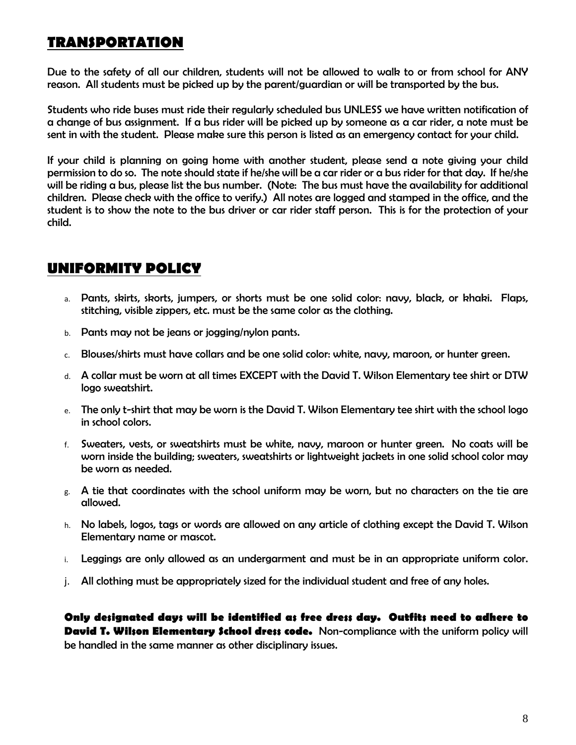### *TRANSPORTATION*

*Due to the safety of all our children, students will not be allowed to walk to or from school for ANY reason. All students must be picked up by the parent/guardian or will be transported by the bus.* 

*Students who ride buses must ride their regularly scheduled bus UNLESS we have written notification of a change of bus assignment. If a bus rider will be picked up by someone as a car rider, a note must be sent in with the student. Please make sure this person is listed as an emergency contact for your child.*

*If your child is planning on going home with another student, please send a note giving your child permission to do so. The note should state if he/she will be a car rider or a bus rider for that day. If he/she*  will be riding a bus, please list the bus number. (Note: The bus must have the availability for additional *children. Please check with the office to verify.) All notes are logged and stamped in the office, and the student is to show the note to the bus driver or car rider staff person. This is for the protection of your child.* 

#### *UNIFORMITY POLICY*

- a. *Pants, skirts, skorts, jumpers, or shorts must be one solid color: navy, black, or khaki. Flaps, stitching, visible zippers, etc. must be the same color as the clothing.*
- b. *Pants may not be jeans or jogging/nylon pants.*
- c. *Blouses/shirts must have collars and be one solid color: white, navy, maroon, or hunter green.*
- d. *A collar must be worn at all times EXCEPT with the David T. Wilson Elementary tee shirt or DTW logo sweatshirt.*
- e. *The only t-shirt that may be worn is the David T. Wilson Elementary tee shirt with the school logo in school colors.*
- f. *Sweaters, vests, or sweatshirts must be white, navy, maroon or hunter green. No coats will be worn inside the building; sweaters, sweatshirts or lightweight jackets in one solid school color may be worn as needed.*
- g. *A tie that coordinates with the school uniform may be worn, but no characters on the tie are allowed.*
- h. *No labels, logos, tags or words are allowed on any article of clothing except the David T. Wilson Elementary name or mascot.*
- i. *Leggings are only allowed as an undergarment and must be in an appropriate uniform color.*
- j. *All clothing must be appropriately sized for the individual student and free of any holes.*

*Only designated days will be identified as free dress day. Outfits need to adhere to David T. Wilson Elementary School dress code. Non-compliance with the uniform policy will be handled in the same manner as other disciplinary issues.*